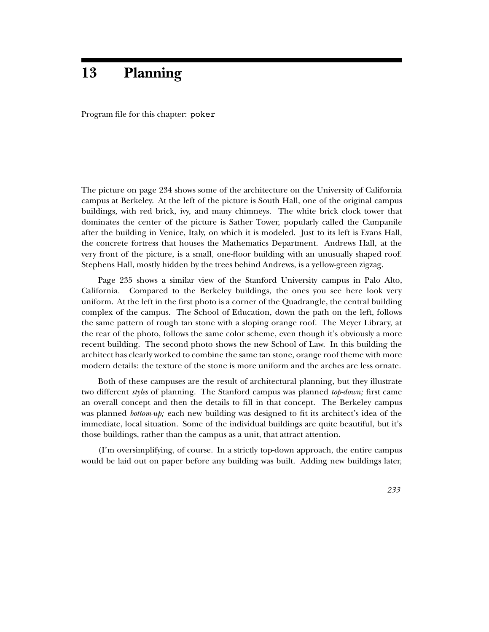# **13 Planning**

Program file for this chapter: poker

The picture on page 234 shows some of the architecture on the University of California campus at Berkeley. At the left of the picture is South Hall, one of the original campus buildings, with red brick, ivy, and many chimneys. The white brick clock tower that dominates the center of the picture is Sather Tower, popularly called the Campanile after the building in Venice, Italy, on which it is modeled. Just to its left is Evans Hall, the concrete fortress that houses the Mathematics Department. Andrews Hall, at the very front of the picture, is a small, one-floor building with an unusually shaped roof. Stephens Hall, mostly hidden by the trees behind Andrews, is a yellow-green zigzag.

Page 235 shows a similar view of the Stanford University campus in Palo Alto, California. Compared to the Berkeley buildings, the ones you see here look very uniform. At the left in the first photo is a corner of the Quadrangle, the central building complex of the campus. The School of Education, down the path on the left, follows the same pattern of rough tan stone with a sloping orange roof. The Meyer Library, at the rear of the photo, follows the same color scheme, even though it's obviously a more recent building. The second photo shows the new School of Law. In this building the architect has clearly worked to combine the same tan stone, orange roof theme with more modern details: the texture of the stone is more uniform and the arches are less ornate.

two different *styles* of planning. The Stanford campus was planned top-down; first came was planned *bottom-up;* each new building was designed to fit its architect's idea of the Both of these campuses are the result of architectural planning, but they illustrate an overall concept and then the details to fill in that concept. The Berkeley campus immediate, local situation. Some of the individual buildings are quite beautiful, but it's those buildings, rather than the campus as a unit, that attract attention.

(I'm oversimplifying, of course. In a strictly top-down approach, the entire campus would be laid out on paper before any building was built. Adding new buildings later,

*233*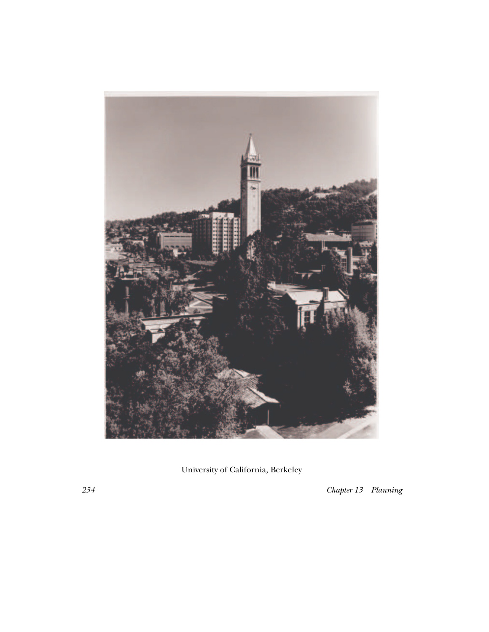

University of California, Berkeley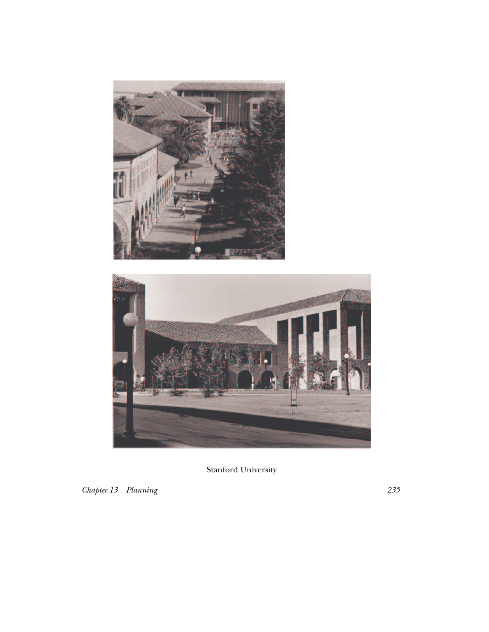



Stanford University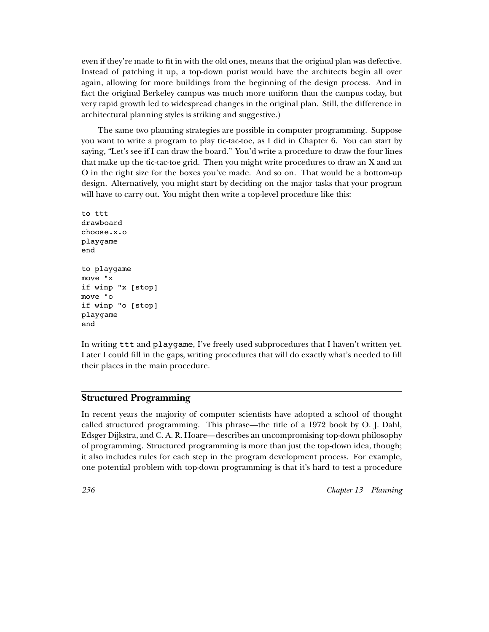even if they're made to fit in with the old ones, means that the original plan was defective. Instead of patching it up, a top-down purist would have the architects begin all over again, allowing for more buildings from the beginning of the design process. And in fact the original Berkeley campus was much more uniform than the campus today, but very rapid growth led to widespread changes in the original plan. Still, the difference in architectural planning styles is striking and suggestive.)

The same two planning strategies are possible in computer programming. Suppose you want to write a program to play tic-tac-toe, as I did in Chapter 6. You can start by saying, "Let's see if I can draw the board." You'd write a procedure to draw the four lines that make up the tic-tac-toe grid. Then you might write procedures to draw an X and an O in the right size for the boxes you've made. And so on. That would be a bottom-up design. Alternatively, you might start by deciding on the major tasks that your program will have to carry out. You might then write a top-level procedure like this:

```
to ttt
drawboard
choose.x.o
playgame
end
to playgame
move "x
if winp "x [stop]
move "o
if winp "o [stop]
playgame
end
```
In writing ttt and playgame, I've freely used subprocedures that I haven't written yet. Later I could fill in the gaps, writing procedures that will do exactly what's needed to fill their places in the main procedure.

### **Structured Programming**

In recent years the majority of computer scientists have adopted a school of thought called structured programming. This phrase—the title of a 1972 book by O. J. Dahl, Edsger Dijkstra, and C. A. R. Hoare—describes an uncompromising top-down philosophy of programming. Structured programming is more than just the top-down idea, though; it also includes rules for each step in the program development process. For example, one potential problem with top-down programming is that it's hard to test a procedure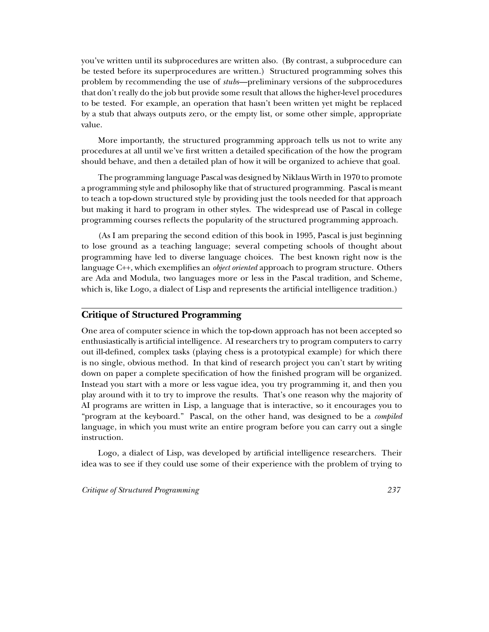problem by recommending the use of *stubs*—preliminary versions of the subprocedures you've written until its subprocedures are written also. (By contrast, a subprocedure can be tested before its superprocedures are written.) Structured programming solves this that don't really do the job but provide some result that allows the higher-level procedures to be tested. For example, an operation that hasn't been written yet might be replaced by a stub that always outputs zero, or the empty list, or some other simple, appropriate value.

More importantly, the structured programming approach tells us not to write any procedures at all until we've first written a detailed specification of the how the program should behave, and then a detailed plan of how it will be organized to achieve that goal.

The programming language Pascal was designed by Niklaus Wirth in 1970 to promote a programming style and philosophy like that of structured programming. Pascal is meant to teach a top-down structured style by providing just the tools needed for that approach but making it hard to program in other styles. The widespread use of Pascal in college programming courses reflects the popularity of the structured programming approach.

language C++, which exemplifies an *object oriented* approach to program structure. Others (As I am preparing the second edition of this book in 1995, Pascal is just beginning to lose ground as a teaching language; several competing schools of thought about programming have led to diverse language choices. The best known right now is the are Ada and Modula, two languages more or less in the Pascal tradition, and Scheme, which is, like Logo, a dialect of Lisp and represents the artificial intelligence tradition.)

#### **Critique of Structured Programming**

"program at the keyboard." Pascal, on the other hand, was designed to be a *compiled* One area of computer science in which the top-down approach has not been accepted so enthusiastically is artificial intelligence. AI researchers try to program computers to carry out ill-defined, complex tasks (playing chess is a prototypical example) for which there is no single, obvious method. In that kind of research project you can't start by writing down on paper a complete specification of how the finished program will be organized. Instead you start with a more or less vague idea, you try programming it, and then you play around with it to try to improve the results. That's one reason why the majority of AI programs are written in Lisp, a language that is interactive, so it encourages you to language, in which you must write an entire program before you can carry out a single instruction.

Logo, a dialect of Lisp, was developed by artificial intelligence researchers. Their idea was to see if they could use some of their experience with the problem of trying to

*Critique of Structured Programming 237*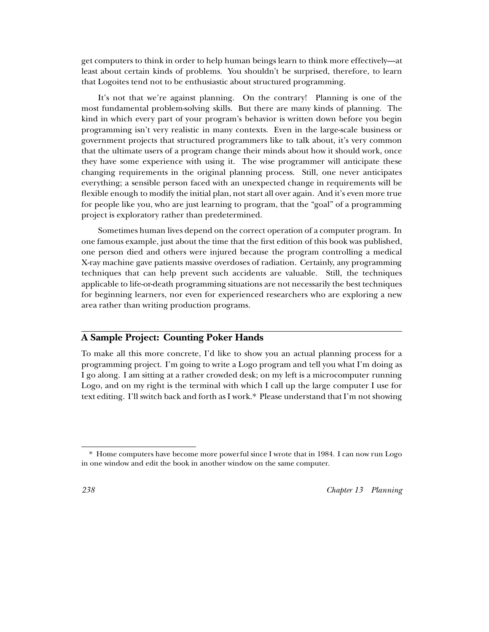get computers to think in order to help human beings learn to think more effectively—at least about certain kinds of problems. You shouldn't be surprised, therefore, to learn that Logoites tend not to be enthusiastic about structured programming.

It's not that we're against planning. On the contrary! Planning is one of the most fundamental problem-solving skills. But there are many kinds of planning. The kind in which every part of your program's behavior is written down before you begin programming isn't very realistic in many contexts. Even in the large-scale business or government projects that structured programmers like to talk about, it's very common that the ultimate users of a program change their minds about how it should work, once they have some experience with using it. The wise programmer will anticipate these changing requirements in the original planning process. Still, one never anticipates everything; a sensible person faced with an unexpected change in requirements will be flexible enough to modify the initial plan, not start all over again. And it's even more true for people like you, who are just learning to program, that the "goal" of a programming project is exploratory rather than predetermined.

Sometimes human lives depend on the correct operation of a computer program. In one famous example, just about the time that the first edition of this book was published, one person died and others were injured because the program controlling a medical X-ray machine gave patients massive overdoses of radiation. Certainly, any programming techniques that can help prevent such accidents are valuable. Still, the techniques applicable to life-or-death programming situations are not necessarily the best techniques for beginning learners, nor even for experienced researchers who are exploring a new area rather than writing production programs.

## **A Sample Project: Counting Poker Hands**

To make all this more concrete, I'd like to show you an actual planning process for a programming project. I'm going to write a Logo program and tell you what I'm doing as I go along. I am sitting at a rather crowded desk; on my left is a microcomputer running Logo, and on my right is the terminal with which I call up the large computer I use for text editing. I'll switch back and forth as I work.\* Please understand that I'm not showing

<sup>\*</sup> Home computers have become more powerful since I wrote that in 1984. I can now run Logo in one window and edit the book in another window on the same computer.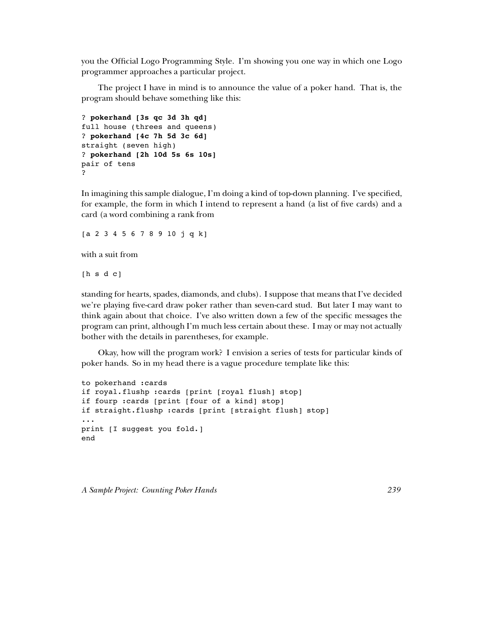you the Official Logo Programming Style. I'm showing you one way in which one Logo programmer approaches a particular project.

The project I have in mind is to announce the value of a poker hand. That is, the program should behave something like this:

```
pokerhand [3s qc 3d 3h qd]
?
pokerhand [4c 7h 5d 3c 6d]
?
pokerhand [2h 10d 5s 6s 10s]
?
full house (threes and queens)
straight (seven high)
pair of tens
?
```
In imagining this sample dialogue, I'm doing a kind of top-down planning. I've specified, for example, the form in which I intend to represent a hand (a list of five cards) and a card (a word combining a rank from

[a 2 3 4 5 6 7 8 9 10 j q k]

with a suit from

[h s d c]

standing for hearts, spades, diamonds, and clubs). I suppose that means that I've decided we're playing five-card draw poker rather than seven-card stud. But later I may want to think again about that choice. I've also written down a few of the specific messages the program can print, although I'm much less certain about these. I may or may not actually bother with the details in parentheses, for example.

Okay, how will the program work? I envision a series of tests for particular kinds of poker hands. So in my head there is a vague procedure template like this:

```
to pokerhand :cards
if royal.flushp :cards [print [royal flush] stop]
if fourp :cards [print [four of a kind] stop]
if straight.flushp :cards [print [straight flush] stop]
...
print [I suggest you fold.]
end
```
*A Sample Project: Counting Poker Hands 239*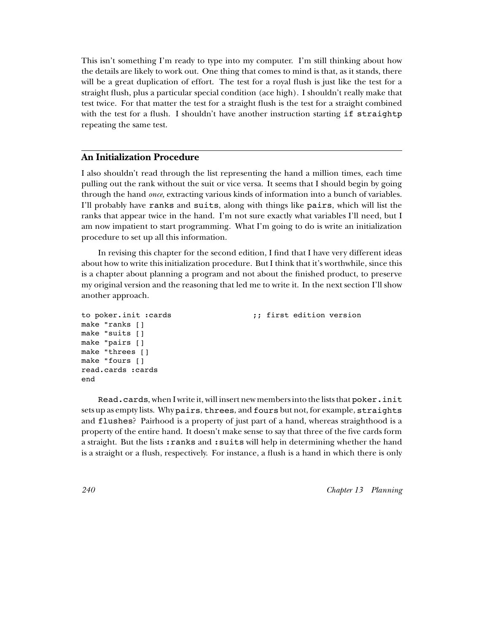with the test for a flush. I shouldn't have another instruction starting if  $string$ This isn't something I'm ready to type into my computer. I'm still thinking about how the details are likely to work out. One thing that comes to mind is that, as it stands, there will be a great duplication of effort. The test for a royal flush is just like the test for a straight flush, plus a particular special condition (ace high). I shouldn't really make that test twice. For that matter the test for a straight flush is the test for a straight combined repeating the same test.

## **An Initialization Procedure**

through the hand once, extracting various kinds of information into a bunch of variables. I'll probably have ranks and suits, along with things like pairs, which will list the I also shouldn't read through the list representing the hand a million times, each time pulling out the rank without the suit or vice versa. It seems that I should begin by going ranks that appear twice in the hand. I'm not sure exactly what variables I'll need, but I am now impatient to start programming. What I'm going to do is write an initialization procedure to set up all this information.

In revising this chapter for the second edition, I find that I have very different ideas about how to write this initialization procedure. But I think that it's worthwhile, since this is a chapter about planning a program and not about the finished product, to preserve my original version and the reasoning that led me to write it. In the next section I'll show another approach.

```
to poker.init : cards (example ); first edition version
make "ranks []
make "suits []
make "pairs []
make "threes []
make "fours []
read.cards :cards
end
```
 $\texttt{Read.cards},$  when I write it, will insert new members into the lists that  $\texttt{poker.init}$ sets up as empty lists. Why  $\mathtt{pairs},$  threes, and fours but not, for example,  $\mathtt{straights}$ and flushes? Pairhood is a property of just part of a hand, whereas straighthood is a a straight. But the lists  $:\!{\tt ranks}$  and  $:\!{\tt suits}$  will help in determining whether the hand property of the entire hand. It doesn't make sense to say that three of the five cards form is a straight or a flush, respectively. For instance, a flush is a hand in which there is only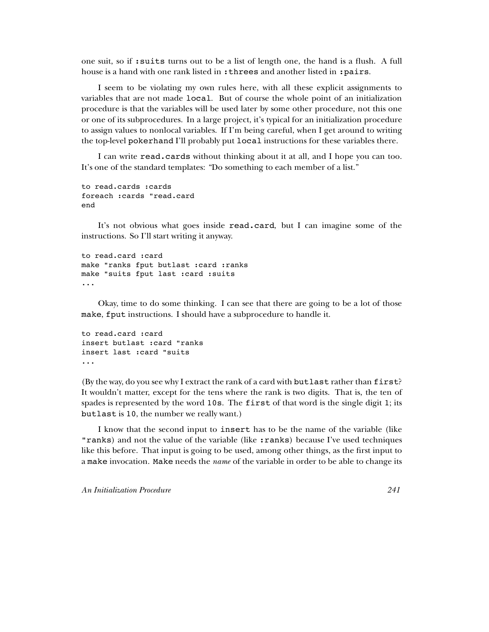one suit, so if : suits turns out to be a list of length one, the hand is a flush. A full house is a hand with one rank listed in : threes and another listed in : pairs.

variables that are not made local. But of course the whole point of an initialization the top-level pokerhand I'll probably put local instructions for these variables there. I seem to be violating my own rules here, with all these explicit assignments to procedure is that the variables will be used later by some other procedure, not this one or one of its subprocedures. In a large project, it's typical for an initialization procedure to assign values to nonlocal variables. If I'm being careful, when I get around to writing

I can write read.cards without thinking about it at all, and I hope you can too. It's one of the standard templates: "Do something to each member of a list."

```
to read.cards :cards
foreach :cards "read.card
end
```
It's not obvious what goes inside read.card, but I can imagine some of the instructions. So I'll start writing it anyway.

```
to read.card :card
make "ranks fput butlast :card :ranks
make "suits fput last :card :suits
...
```
make, fput instructions. I should have a subprocedure to handle it. Okay, time to do some thinking. I can see that there are going to be a lot of those

```
to read.card :card
insert butlast :card "ranks
insert last :card "suits
...
```
(By the way, do you see why I extract the rank of a card with butlast rather than  $first$ ? spades is represented by the word 10s. The first of that word is the single digit 1; its butlast is 10, the number we really want.) It wouldn't matter, except for the tens where the rank is two digits. That is, the ten of

a make invocation. Make needs the *name* of the variable in order to be able to change its I know that the second input to insert has to be the name of the variable (like "ranks) and not the value of the variable (like : ranks) because I've used techniques like this before. That input is going to be used, among other things, as the first input to

*An Initialization Procedure 241*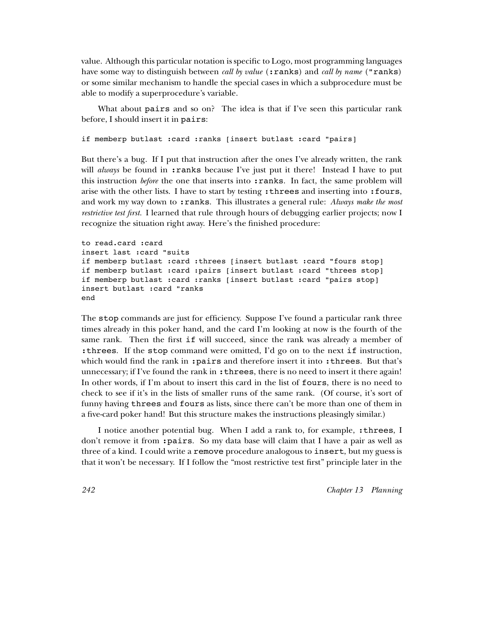have some way to distinguish between *call by value* (:ranks) and *call by name* ("ranks) value. Although this particular notation is specific to Logo, most programming languages or some similar mechanism to handle the special cases in which a subprocedure must be able to modify a superprocedure's variable.

What about pairs and so on? The idea is that if I've seen this particular rank before, I should insert it in pairs:

if memberp butlast :card :ranks [insert butlast :card "pairs]

will *always* be found in : ranks because I've just put it there! Instead I have to put this instruction *before* the one that inserts into : ranks. In fact, the same problem will and work my way down to : ranks. This illustrates a general rule: Always make the most *restrictive test first.* I learned that rule through hours of debugging earlier projects; now I arise with the other lists. I have to start by testing : threes and inserting into : fours, But there's a bug. If I put that instruction after the ones I've already written, the rank recognize the situation right away. Here's the finished procedure:

to read.card :card insert last :card "suits if memberp butlast :card :threes [insert butlast :card "fours stop] if memberp butlast :card :pairs [insert butlast :card "threes stop] if memberp butlast :card :ranks [insert butlast :card "pairs stop] insert butlast :card "ranks end

The stop commands are just for efficiency. Suppose I've found a particular rank three same rank. Then the first if will succeed, since the rank was already a member of : threes. If the stop command were omitted, I'd go on to the next if instruction, which would find the rank in  $:$  pairs and therefore insert it into  $:$  threes. But that's unnecessary; if I've found the rank in  $:$  threes, there is no need to insert it there again! In other words, if I'm about to insert this card in the list of  $fours$ , there is no need to funny having threes and fours as lists, since there can't be more than one of them in times already in this poker hand, and the card I'm looking at now is the fourth of the check to see if it's in the lists of smaller runs of the same rank. (Of course, it's sort of a five-card poker hand! But this structure makes the instructions pleasingly similar.)

I notice another potential bug. When I add a rank to, for example, :threes, I don't remove it from : pairs. So my data base will claim that I have a pair as well as three of a kind. I could write a remove procedure analogous to insert, but my guess is that it won't be necessary. If I follow the "most restrictive test first" principle later in the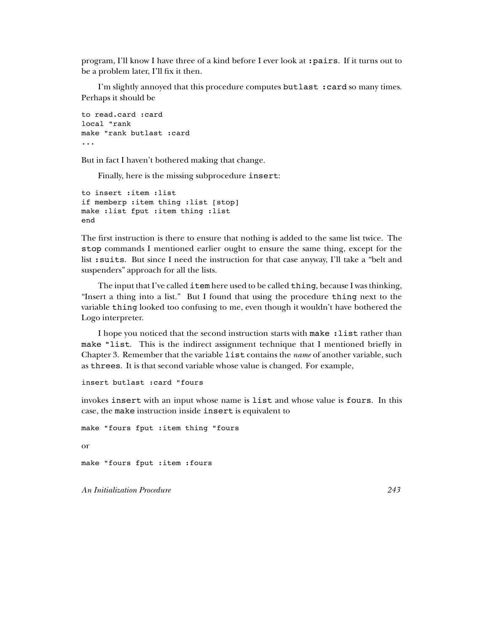program, I'll know I have three of a kind before I ever look at  $\, : \,$  pairs. If it turns out to be a problem later, I'll fix it then.

I'm slightly annoyed that this procedure computes butlast : card so many times. Perhaps it should be

```
to read.card :card
local "rank
make "rank butlast :card
...
```
But in fact I haven't bothered making that change.

Finally, here is the missing subprocedure insert:

```
to insert :item :list
if memberp :item thing :list [stop]
make :list fput :item thing :list
end
```
stop commands I mentioned earlier ought to ensure the same thing, except for the :suits list . But since I need the instruction for that case anyway, I'll take a "belt and The first instruction is there to ensure that nothing is added to the same list twice. The suspenders" approach for all the lists.

The input that I've called item here used to be called thing, because I was thinking, "Insert a thing into a list." But I found that using the procedure thing next to the variable thing looked too confusing to me, even though it wouldn't have bothered the Logo interpreter.

Chapter 3. Remember that the variable list contains the *name* of another variable, such I hope you noticed that the second instruction starts with make : list rather than make "list . This is the indirect assignment technique that I mentioned briefly in as threes. It is that second variable whose value is changed. For example,

insert butlast :card "fours

invokes insert with an input whose name is list and whose value is fours. In this case, the make instruction inside insert is equivalent to

make "fours fput :item thing "fours

or

make "fours fput :item :fours

*An Initialization Procedure 243*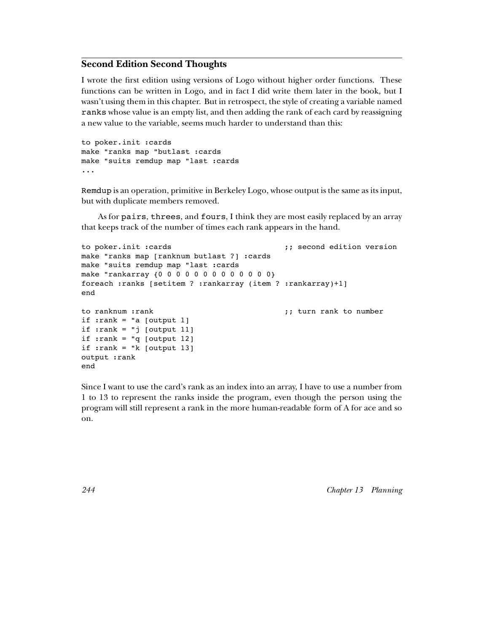## **Second Edition Second Thoughts**

ranks whose value is an empty list, and then adding the rank of each card by reassigning I wrote the first edition using versions of Logo without higher order functions. These functions can be written in Logo, and in fact I did write them later in the book, but I wasn't using them in this chapter. But in retrospect, the style of creating a variable named a new value to the variable, seems much harder to understand than this:

to poker.init :cards make "ranks map "butlast :cards make "suits remdup map "last :cards ...

Remdup is an operation, primitive in Berkeley Logo, whose output is the same as its input, but with duplicate members removed.

As for <code>pairs</code>, threes, and <code>fours</code>, I think they are most easily replaced by an array that keeps track of the number of times each rank appears in the hand.

```
to poker.init :cards ;; second edition version
make "ranks map [ranknum butlast ?] :cards
make "suits remdup map "last :cards
make "rankarray {0 0 0 0 0 0 0 0 0 0 0 0 0}
foreach :ranks [setitem ? :rankarray (item ? :rankarray)+1]
end
to ranknum : rank \qquad \qquad ; turn rank to number
if :rank = "a [output 1]if :rank = "j [output 11]
if : rank = "q [output 12]
if : rank = "k [output 13]
output :rank
end
```
Since I want to use the card's rank as an index into an array, I have to use a number from 1 to 13 to represent the ranks inside the program, even though the person using the program will still represent a rank in the more human-readable form of A for ace and so on.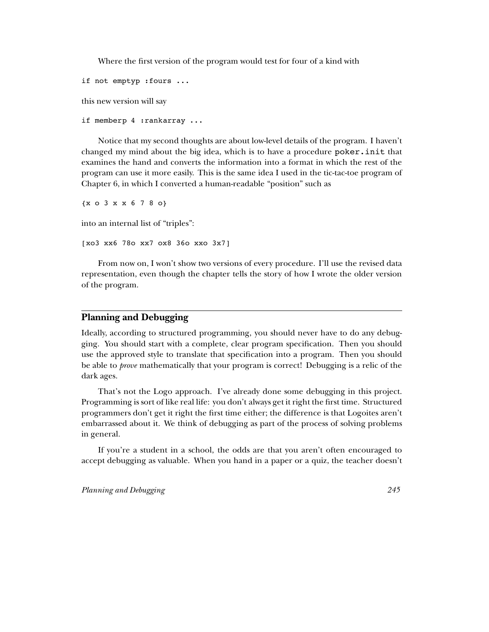Where the first version of the program would test for four of a kind with

```
if not emptyp :fours ...
```
this new version will say

if memberp 4 :rankarray ...

changed my mind about the big idea, which is to have a procedure  $poker.init$  that Notice that my second thoughts are about low-level details of the program. I haven't examines the hand and converts the information into a format in which the rest of the program can use it more easily. This is the same idea I used in the tic-tac-toe program of Chapter 6, in which I converted a human-readable "position" such as

{x o 3 x x 6 7 8 o}

into an internal list of "triples":

```
[xo3 xx6 78o xx7 ox8 36o xxo 3x7]
```
From now on, I won't show two versions of every procedure. I'll use the revised data representation, even though the chapter tells the story of how I wrote the older version of the program.

### **Planning and Debugging**

be able to *prove* mathematically that your program is correct! Debugging is a relic of the Ideally, according to structured programming, you should never have to do any debugging. You should start with a complete, clear program specification. Then you should use the approved style to translate that specification into a program. Then you should dark ages.

That's not the Logo approach. I've already done some debugging in this project. Programming is sort of like real life: you don't always get it right the first time. Structured programmers don't get it right the first time either; the difference is that Logoites aren't embarrassed about it. We think of debugging as part of the process of solving problems in general.

If you're a student in a school, the odds are that you aren't often encouraged to accept debugging as valuable. When you hand in a paper or a quiz, the teacher doesn't

*Planning and Debugging 245*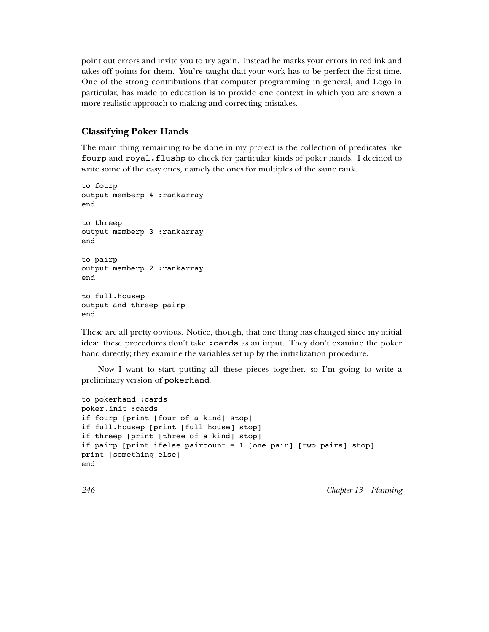point out errors and invite you to try again. Instead he marks your errors in red ink and takes off points for them. You're taught that your work has to be perfect the first time. One of the strong contributions that computer programming in general, and Logo in particular, has made to education is to provide one context in which you are shown a more realistic approach to making and correcting mistakes.

## **Classifying Poker Hands**

fourp and royal. flushp to check for particular kinds of poker hands. I decided to The main thing remaining to be done in my project is the collection of predicates like write some of the easy ones, namely the ones for multiples of the same rank.

```
to fourp
output memberp 4 :rankarray
end
to threep
output memberp 3 :rankarray
end
to pairp
output memberp 2 :rankarray
end
to full.housep
output and threep pairp
end
```
idea: these procedures don't take : cards as an input. They don't examine the poker These are all pretty obvious. Notice, though, that one thing has changed since my initial hand directly; they examine the variables set up by the initialization procedure.

preliminary version of pokerhand. Now I want to start putting all these pieces together, so I'm going to write a

```
to pokerhand :cards
poker.init :cards
if fourp [print [four of a kind] stop]
if full.housep [print [full house] stop]
if threep [print [three of a kind] stop]
if pairp [print ifelse paircount = 1 [one pair] [two pairs] stop]
print [something else]
end
```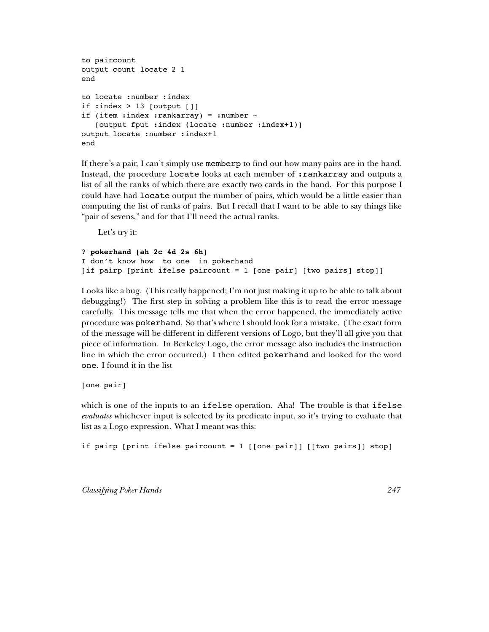```
to paircount
output count locate 2 1
end
to locate :number :index
if :index > 13 [output []]
if (item : index : rankarray) = : number \sim[output fput :index (locate :number :index+1)]
output locate :number :index+1
end
```
If there's a pair, I can't simply use memberp to find out how many pairs are in the hand. Instead, the procedure locate looks at each member of : rankarray and outputs a could have had locate output the number of pairs, which would be a little easier than list of all the ranks of which there are exactly two cards in the hand. For this purpose I computing the list of ranks of pairs. But I recall that I want to be able to say things like "pair of sevens," and for that I'll need the actual ranks.

Let's try it:

```
pokerhand [ah 2c 4d 2s 6h]
?
I don't know how to one in pokerhand
[if pairp [print ifelse paircount = 1 [one pair] [two pairs] stop]]
```
procedure was  ${\tt pokerhand.}$  So that's where I should look for a mistake. (The exact form line in which the error occurred.) I then edited pokerhand and looked for the word one . I found it in the list Looks like a bug. (This really happened; I'm not just making it up to be able to talk about debugging!) The first step in solving a problem like this is to read the error message carefully. This message tells me that when the error happened, the immediately active of the message will be different in different versions of Logo, but they'll all give you that piece of information. In Berkeley Logo, the error message also includes the instruction

[one pair]

*evaluates* whichever input is selected by its predicate input, so it's trying to evaluate that which is one of the inputs to an ifelse operation. Aha! The trouble is that ifelse list as a Logo expression. What I meant was this:

```
if pairp [print ifelse paircount = 1 [[one pair]] [[two pairs]] stop]
```
*Classifying Poker Hands 247*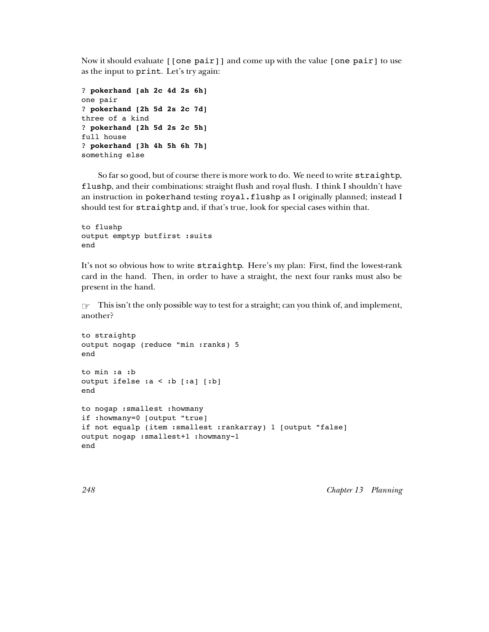Now it should evaluate  $\lbrack$  [one pair] ] and come up with the value [one pair] to use as the input to print. Let's try again:

```
pokerhand [ah 2c 4d 2s 6h]
?
pokerhand [2h 5d 2s 2c 7d]
?
pokerhand [2h 5d 2s 2c 5h]
?
pokerhand [3h 4h 5h 6h 7h]
?
one pair
three of a kind
full house
something else
```
So far so good, but of course there is more work to do. We need to write  $\tt{straightp},$ flushp , and their combinations: straight flush and royal flush. I think I shouldn't have an instruction in  ${\tt pokerhand}$  testing  ${\tt royal.{flushp}}$  as I originally planned; instead I should test for  $\texttt{straightp}$  and, if that's true, look for special cases within that.

```
to flushp
output emptyp butfirst :suits
end
```
It's not so obvious how to write straightp. Here's my plan: First, find the lowest-rank card in the hand. Then, in order to have a straight, the next four ranks must also be present in the hand.

☞ This isn't the only possible way to test for a straight; can you think of, and implement, another?

```
to straightp
output nogap (reduce "min :ranks) 5
end
to min :a :b
output ifelse :a < :b [:a] [:b]
end
to nogap :smallest :howmany
if :howmany=0 [output "true]
if not equalp (item :smallest :rankarray) 1 [output "false]
output nogap :smallest+1 :howmany-1
end
```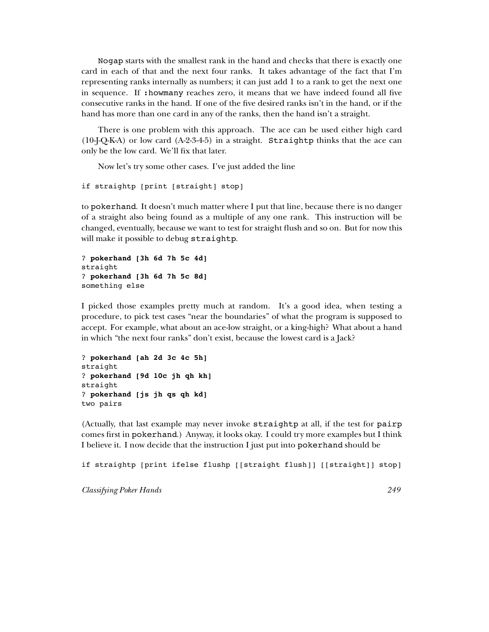Nogap starts with the smallest rank in the hand and checks that there is exactly one in sequence. If : howmany reaches zero, it means that we have indeed found all five card in each of that and the next four ranks. It takes advantage of the fact that I'm representing ranks internally as numbers; it can just add 1 to a rank to get the next one consecutive ranks in the hand. If one of the five desired ranks isn't in the hand, or if the hand has more than one card in any of the ranks, then the hand isn't a straight.

 $(10$ -J-Q-K-A) or low card  $(A-2-3-4-5)$  in a straight. Straight thinks that the ace can There is one problem with this approach. The ace can be used either high card only be the low card. We'll fix that later.

Now let's try some other cases. I've just added the line

```
if straightp [print [straight] stop]
```
to pokerhand. It doesn't much matter where I put that line, because there is no danger will make it possible to debug straightp. of a straight also being found as a multiple of any one rank. This instruction will be changed, eventually, because we want to test for straight flush and so on. But for now this

**pokerhand [3h 6d 7h 5c 4d]** ? **pokerhand [3h 6d 7h 5c 8d]** ? straight something else

I picked those examples pretty much at random. It's a good idea, when testing a procedure, to pick test cases "near the boundaries" of what the program is supposed to accept. For example, what about an ace-low straight, or a king-high? What about a hand in which "the next four ranks" don't exist, because the lowest card is a Jack?

**pokerhand [ah 2d 3c 4c 5h]** ? **pokerhand [9d 10c jh qh kh]** ? **pokerhand [js jh qs qh kd]** ? straight straight two pairs

(Actually, that last example may never invoke straightp at all, if the test for pairp comes first in pokerhand.) Anyway, it looks okay. I could try more examples but I think I believe it. I now decide that the instruction I just put into  ${\tt pockethand}$  should be

if straightp [print ifelse flushp [[straight flush]] [[straight]] stop]

*Classifying Poker Hands 249*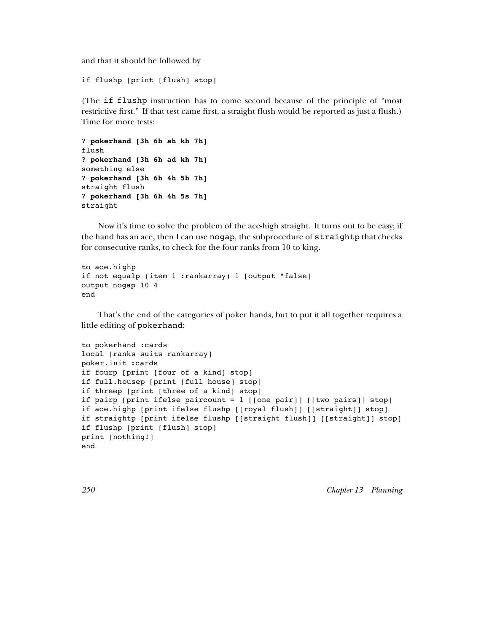and that it should be followed by

if flushp [print [flush] stop]

(The if flushp instruction has to come second because of the principle of "most restrictive first." If that test came first, a straight flush would be reported as just a flush.) Time for more tests:

```
pokerhand [3h 6h ah kh 7h]
?
pokerhand [3h 6h ad kh 7h]
?
pokerhand [3h 6h 4h 5h 7h]
?
pokerhand [3h 6h 4h 5s 7h]
?
flush
something else
straight flush
straight
```
the hand has an ace, then I can use  $\mathop{\mathsf{nogap}},$  the subprocedure of  $\mathop{\mathtt{stringhtp}}$  that checks Now it's time to solve the problem of the ace-high straight. It turns out to be easy; if for consecutive ranks, to check for the four ranks from 10 to king.

```
to ace.highp
if not equalp (item 1 :rankarray) 1 [output "false]
output nogap 10 4
end
```
little editing of pokerhand: That's the end of the categories of poker hands, but to put it all together requires a

```
to pokerhand :cards
local [ranks suits rankarray]
poker.init :cards
if fourp [print [four of a kind] stop]
if full.housep [print [full house] stop]
if threep [print [three of a kind] stop]
if pairp [print ifelse paircount = 1 [[one pair]] [[two pairs]] stop]
if ace.highp [print ifelse flushp [[royal flush]] [[straight]] stop]
if straightp [print ifelse flushp [[straight flush]] [[straight]] stop]
if flushp [print [flush] stop]
print [nothing!]
end
```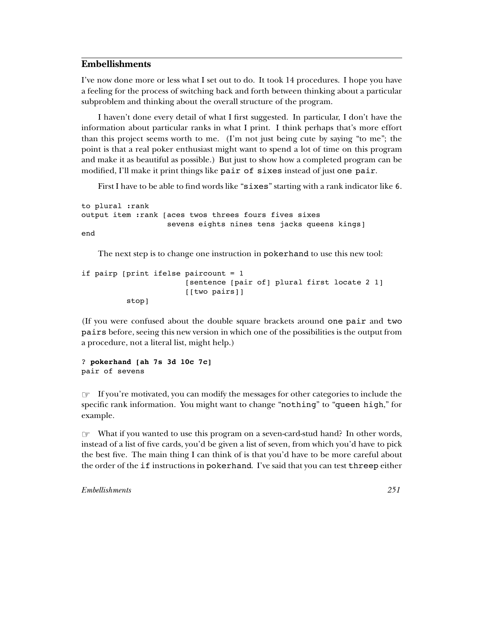### **Embellishments**

I've now done more or less what I set out to do. It took 14 procedures. I hope you have a feeling for the process of switching back and forth between thinking about a particular subproblem and thinking about the overall structure of the program.

modified, I'll make it print things like  $\mathtt{pair}$  of  $\mathtt{sixes}$  instead of just one  $\mathtt{pair}.$ I haven't done every detail of what I first suggested. In particular, I don't have the information about particular ranks in what I print. I think perhaps that's more effort than this project seems worth to me. (I'm not just being cute by saying "to me"; the point is that a real poker enthusiast might want to spend a lot of time on this program and make it as beautiful as possible.) But just to show how a completed program can be

First I have to be able to find words like "sixes" starting with a rank indicator like 6.

```
to plural :rank
output item :rank [aces twos threes fours fives sixes
                   sevens eights nines tens jacks queens kings]
end
```
The next step is to change one instruction in pokerhand to use this new tool:

```
if pairp [print ifelse paircount = 1
                       [sentence [pair of] plural first locate 2 1]
                       [[two pairs]]
          stop]
```
(If you were confused about the double square brackets around one pair and two pairs before, seeing this new version in which one of the possibilities is the output from a procedure, not a literal list, might help.)

#### **pokerhand [ah 7s 3d 10c 7c]** ? pair of sevens

☞ If you're motivated, you can modify the messages for other categories to include the specific rank information. You might want to change "nothing" to "queen high," for example.

☞ What if you wanted to use this program on a seven-card-stud hand? In other words, the order of the  $\mathtt{if}$  instructions in  $\tt{poker}$  hand. I've said that you can test  $\tt{three}$  peither instead of a list of five cards, you'd be given a list of seven, from which you'd have to pick the best five. The main thing I can think of is that you'd have to be more careful about

*Embellishments 251*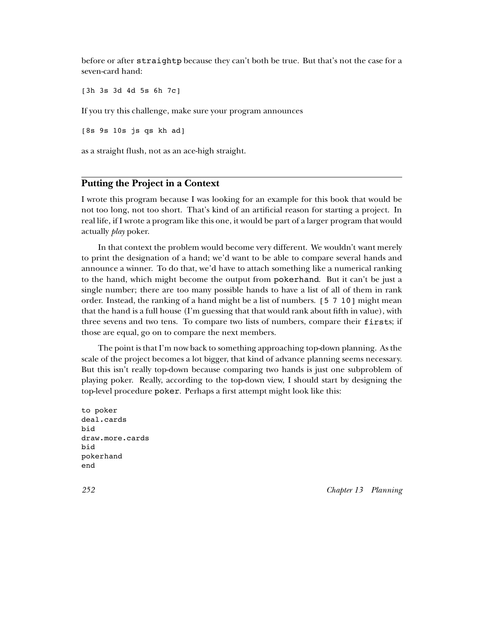before or after  $\texttt{straightp}$  because they can't both be true. But that's not the case for a seven-card hand:

[3h 3s 3d 4d 5s 6h 7c]

If you try this challenge, make sure your program announces

[8s 9s 10s js qs kh ad]

as a straight flush, not as an ace-high straight.

## **Putting the Project in a Context**

*play* actually poker. I wrote this program because I was looking for an example for this book that would be not too long, not too short. That's kind of an artificial reason for starting a project. In real life, if I wrote a program like this one, it would be part of a larger program that would

to the hand, which might become the output from pokerhand. But it can't be just a order. Instead, the ranking of a hand might be a list of numbers. [5 7 10] might mean three sevens and two tens. To compare two lists of numbers, compare their firsts; if In that context the problem would become very different. We wouldn't want merely to print the designation of a hand; we'd want to be able to compare several hands and announce a winner. To do that, we'd have to attach something like a numerical ranking single number; there are too many possible hands to have a list of all of them in rank that the hand is a full house (I'm guessing that that would rank about fifth in value), with those are equal, go on to compare the next members.

top-level procedure poker. Perhaps a first attempt might look like this: The point is that I'm now back to something approaching top-down planning. As the scale of the project becomes a lot bigger, that kind of advance planning seems necessary. But this isn't really top-down because comparing two hands is just one subproblem of playing poker. Really, according to the top-down view, I should start by designing the

to poker deal.cards bid draw.more.cards bid pokerhand end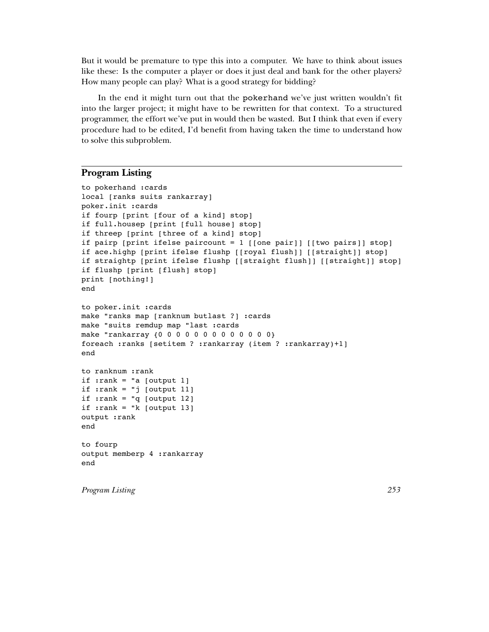But it would be premature to type this into a computer. We have to think about issues like these: Is the computer a player or does it just deal and bank for the other players? How many people can play? What is a good strategy for bidding?

In the end it might turn out that the pokerhand we've just written wouldn't fit into the larger project; it might have to be rewritten for that context. To a structured programmer, the effort we've put in would then be wasted. But I think that even if every procedure had to be edited, I'd benefit from having taken the time to understand how to solve this subproblem.

#### **Program Listing**

```
to pokerhand :cards
local [ranks suits rankarray]
poker.init :cards
if fourp [print [four of a kind] stop]
if full.housep [print [full house] stop]
if threep [print [three of a kind] stop]
if pairp [print ifelse paircount = 1 [[one pair]] [[two pairs]] stop]
if ace.highp [print ifelse flushp [[royal flush]] [[straight]] stop]
if straightp [print ifelse flushp [[straight flush]] [[straight]] stop]
if flushp [print [flush] stop]
print [nothing!]
end
to poker.init :cards
make "ranks map [ranknum butlast ?] :cards
make "suits remdup map "last :cards
make "rankarray {0 0 0 0 0 0 0 0 0 0 0 0 0}
foreach :ranks [setitem ? :rankarray (item ? :rankarray)+1]
end
to ranknum :rank
if :rank = "a [output 1]
if :rank = "j [output 11]
if :rank = "q [output 12]if : rank = "k [output 13]
output :rank
end
to fourp
output memberp 4 :rankarray
end
```
*Program Listing 253*